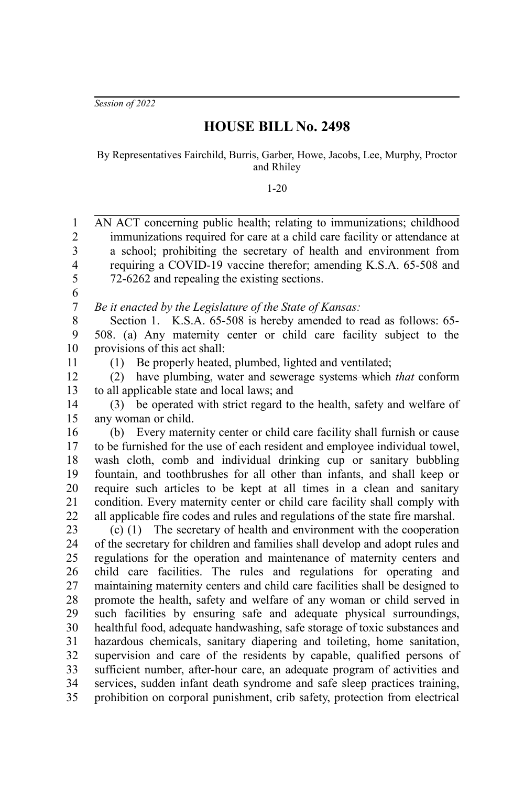*Session of 2022*

## **HOUSE BILL No. 2498**

By Representatives Fairchild, Burris, Garber, Howe, Jacobs, Lee, Murphy, Proctor and Rhiley

1-20

AN ACT concerning public health; relating to immunizations; childhood immunizations required for care at a child care facility or attendance at a school; prohibiting the secretary of health and environment from requiring a COVID-19 vaccine therefor; amending K.S.A. 65-508 and 72-6262 and repealing the existing sections. *Be it enacted by the Legislature of the State of Kansas:* Section 1. K.S.A. 65-508 is hereby amended to read as follows: 65-508. (a) Any maternity center or child care facility subject to the provisions of this act shall: (1) Be properly heated, plumbed, lighted and ventilated; (2) have plumbing, water and sewerage systems which *that* conform to all applicable state and local laws; and (3) be operated with strict regard to the health, safety and welfare of any woman or child. (b) Every maternity center or child care facility shall furnish or cause to be furnished for the use of each resident and employee individual towel, wash cloth, comb and individual drinking cup or sanitary bubbling fountain, and toothbrushes for all other than infants, and shall keep or require such articles to be kept at all times in a clean and sanitary condition. Every maternity center or child care facility shall comply with all applicable fire codes and rules and regulations of the state fire marshal. (c) (1) The secretary of health and environment with the cooperation of the secretary for children and families shall develop and adopt rules and regulations for the operation and maintenance of maternity centers and child care facilities. The rules and regulations for operating and maintaining maternity centers and child care facilities shall be designed to promote the health, safety and welfare of any woman or child served in such facilities by ensuring safe and adequate physical surroundings, healthful food, adequate handwashing, safe storage of toxic substances and hazardous chemicals, sanitary diapering and toileting, home sanitation, supervision and care of the residents by capable, qualified persons of sufficient number, after-hour care, an adequate program of activities and services, sudden infant death syndrome and safe sleep practices training, prohibition on corporal punishment, crib safety, protection from electrical 1 2 3 4 5 6 7 8 9 10 11 12 13 14 15 16 17 18 19 20 21 22 23 24 25 26 27 28 29 30 31 32 33 34 35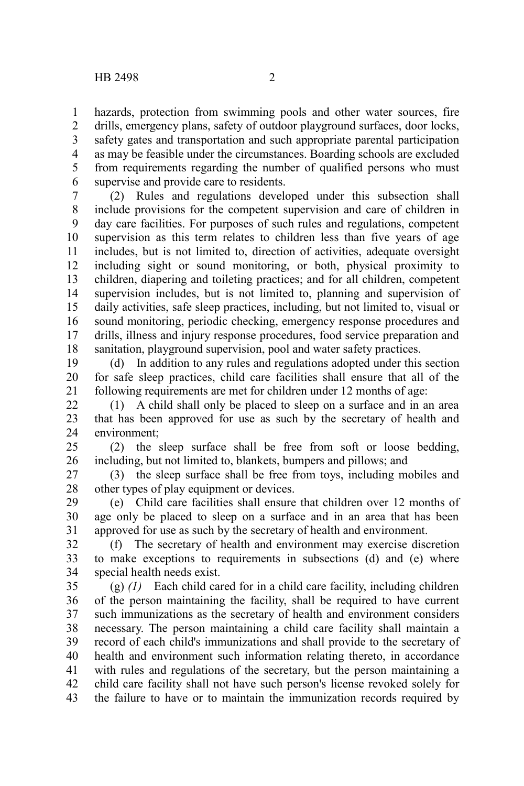hazards, protection from swimming pools and other water sources, fire drills, emergency plans, safety of outdoor playground surfaces, door locks, safety gates and transportation and such appropriate parental participation as may be feasible under the circumstances. Boarding schools are excluded from requirements regarding the number of qualified persons who must supervise and provide care to residents. 1 2 3 4 5 6

(2) Rules and regulations developed under this subsection shall include provisions for the competent supervision and care of children in day care facilities. For purposes of such rules and regulations, competent supervision as this term relates to children less than five years of age includes, but is not limited to, direction of activities, adequate oversight including sight or sound monitoring, or both, physical proximity to children, diapering and toileting practices; and for all children, competent supervision includes, but is not limited to, planning and supervision of daily activities, safe sleep practices, including, but not limited to, visual or sound monitoring, periodic checking, emergency response procedures and drills, illness and injury response procedures, food service preparation and sanitation, playground supervision, pool and water safety practices. 7 8 9 10 11 12 13 14 15 16 17 18

(d) In addition to any rules and regulations adopted under this section for safe sleep practices, child care facilities shall ensure that all of the following requirements are met for children under 12 months of age: 19 20 21

(1) A child shall only be placed to sleep on a surface and in an area that has been approved for use as such by the secretary of health and environment; 22 23 24

(2) the sleep surface shall be free from soft or loose bedding, including, but not limited to, blankets, bumpers and pillows; and 25 26

(3) the sleep surface shall be free from toys, including mobiles and other types of play equipment or devices. 27 28

(e) Child care facilities shall ensure that children over 12 months of age only be placed to sleep on a surface and in an area that has been approved for use as such by the secretary of health and environment. 29 30 31

(f) The secretary of health and environment may exercise discretion to make exceptions to requirements in subsections (d) and (e) where special health needs exist. 32 33 34

(g) *(1)* Each child cared for in a child care facility, including children of the person maintaining the facility, shall be required to have current such immunizations as the secretary of health and environment considers necessary. The person maintaining a child care facility shall maintain a record of each child's immunizations and shall provide to the secretary of health and environment such information relating thereto, in accordance with rules and regulations of the secretary, but the person maintaining a child care facility shall not have such person's license revoked solely for the failure to have or to maintain the immunization records required by 35 36 37 38 39 40 41 42 43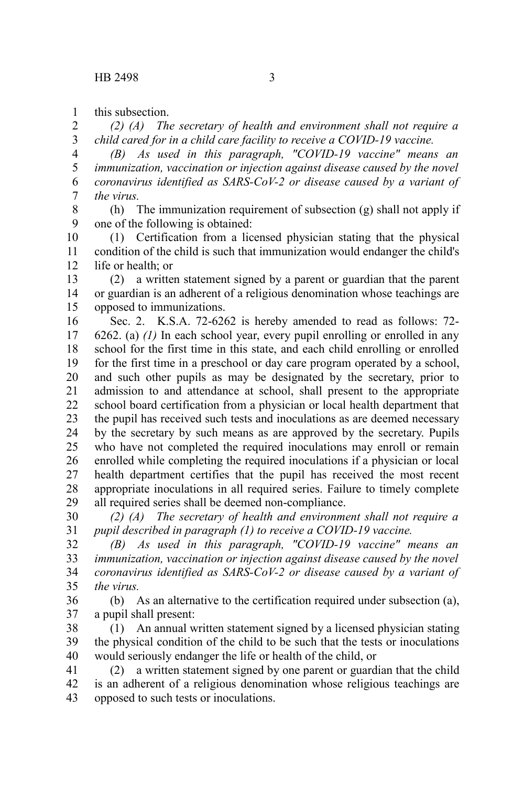this subsection. 1

*(2) (A) The secretary of health and environment shall not require a child cared for in a child care facility to receive a COVID-19 vaccine.* 2 3

*(B) As used in this paragraph, "COVID-19 vaccine" means an immunization, vaccination or injection against disease caused by the novel coronavirus identified as SARS-CoV-2 or disease caused by a variant of the virus.* 4 5 6 7

(h) The immunization requirement of subsection (g) shall not apply if one of the following is obtained: 8 9

(1) Certification from a licensed physician stating that the physical condition of the child is such that immunization would endanger the child's life or health; or 10 11 12

(2) a written statement signed by a parent or guardian that the parent or guardian is an adherent of a religious denomination whose teachings are opposed to immunizations. 13 14 15

Sec. 2. K.S.A. 72-6262 is hereby amended to read as follows: 72- 6262. (a) *(1)* In each school year, every pupil enrolling or enrolled in any school for the first time in this state, and each child enrolling or enrolled for the first time in a preschool or day care program operated by a school, and such other pupils as may be designated by the secretary, prior to admission to and attendance at school, shall present to the appropriate school board certification from a physician or local health department that the pupil has received such tests and inoculations as are deemed necessary by the secretary by such means as are approved by the secretary. Pupils who have not completed the required inoculations may enroll or remain enrolled while completing the required inoculations if a physician or local health department certifies that the pupil has received the most recent appropriate inoculations in all required series. Failure to timely complete all required series shall be deemed non-compliance. 16 17 18 19 20 21 22 23 24 25 26 27 28 29

*(2) (A) The secretary of health and environment shall not require a pupil described in paragraph (1) to receive a COVID-19 vaccine.* 30 31

*(B) As used in this paragraph, "COVID-19 vaccine" means an immunization, vaccination or injection against disease caused by the novel coronavirus identified as SARS-CoV-2 or disease caused by a variant of the virus.* 32 33 34 35

(b) As an alternative to the certification required under subsection (a), a pupil shall present: 36 37

(1) An annual written statement signed by a licensed physician stating the physical condition of the child to be such that the tests or inoculations would seriously endanger the life or health of the child, or 38 39 40

(2) a written statement signed by one parent or guardian that the child is an adherent of a religious denomination whose religious teachings are opposed to such tests or inoculations. 41 42 43